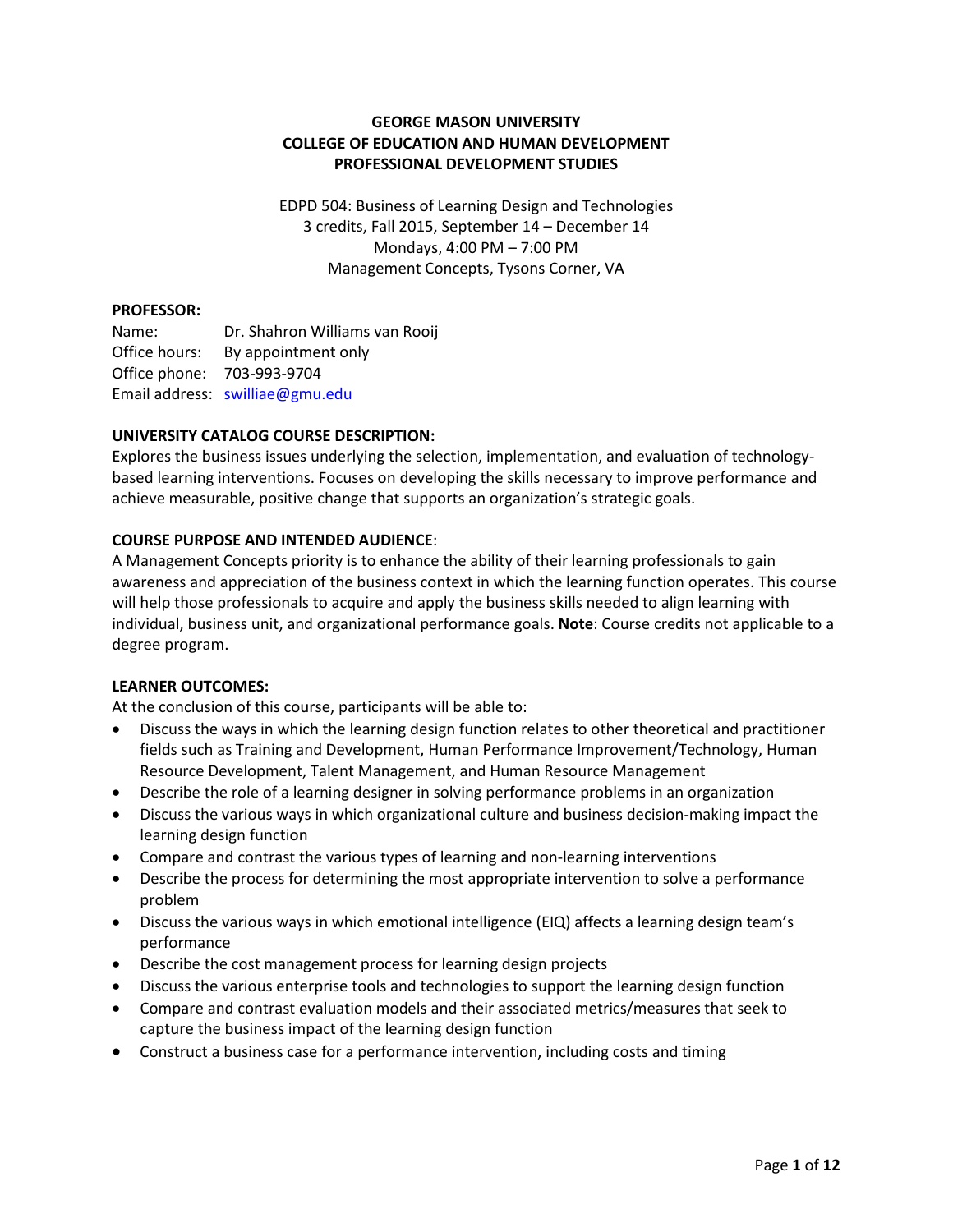#### **GEORGE MASON UNIVERSITY COLLEGE OF EDUCATION AND HUMAN DEVELOPMENT PROFESSIONAL DEVELOPMENT STUDIES**

EDPD 504: Business of Learning Design and Technologies 3 credits, Fall 2015, September 14 – December 14 Mondays, 4:00 PM – 7:00 PM Management Concepts, Tysons Corner, VA

#### **PROFESSOR:**

Name: Dr. Shahron Williams van Rooij Office hours: By appointment only Office phone: 703-993-9704 Email address: [swilliae@gmu.edu](mailto:swilliae@gmu.edu)

#### **UNIVERSITY CATALOG COURSE DESCRIPTION:**

Explores the business issues underlying the selection, implementation, and evaluation of technologybased learning interventions. Focuses on developing the skills necessary to improve performance and achieve measurable, positive change that supports an organization's strategic goals.

#### **COURSE PURPOSE AND INTENDED AUDIENCE**:

A Management Concepts priority is to enhance the ability of their learning professionals to gain awareness and appreciation of the business context in which the learning function operates. This course will help those professionals to acquire and apply the business skills needed to align learning with individual, business unit, and organizational performance goals. **Note**: Course credits not applicable to a degree program.

#### **LEARNER OUTCOMES:**

At the conclusion of this course, participants will be able to:

- Discuss the ways in which the learning design function relates to other theoretical and practitioner fields such as Training and Development, Human Performance Improvement/Technology, Human Resource Development, Talent Management, and Human Resource Management
- Describe the role of a learning designer in solving performance problems in an organization
- Discuss the various ways in which organizational culture and business decision-making impact the learning design function
- Compare and contrast the various types of learning and non-learning interventions
- Describe the process for determining the most appropriate intervention to solve a performance problem
- Discuss the various ways in which emotional intelligence (EIQ) affects a learning design team's performance
- Describe the cost management process for learning design projects
- Discuss the various enterprise tools and technologies to support the learning design function
- Compare and contrast evaluation models and their associated metrics/measures that seek to capture the business impact of the learning design function
- Construct a business case for a performance intervention, including costs and timing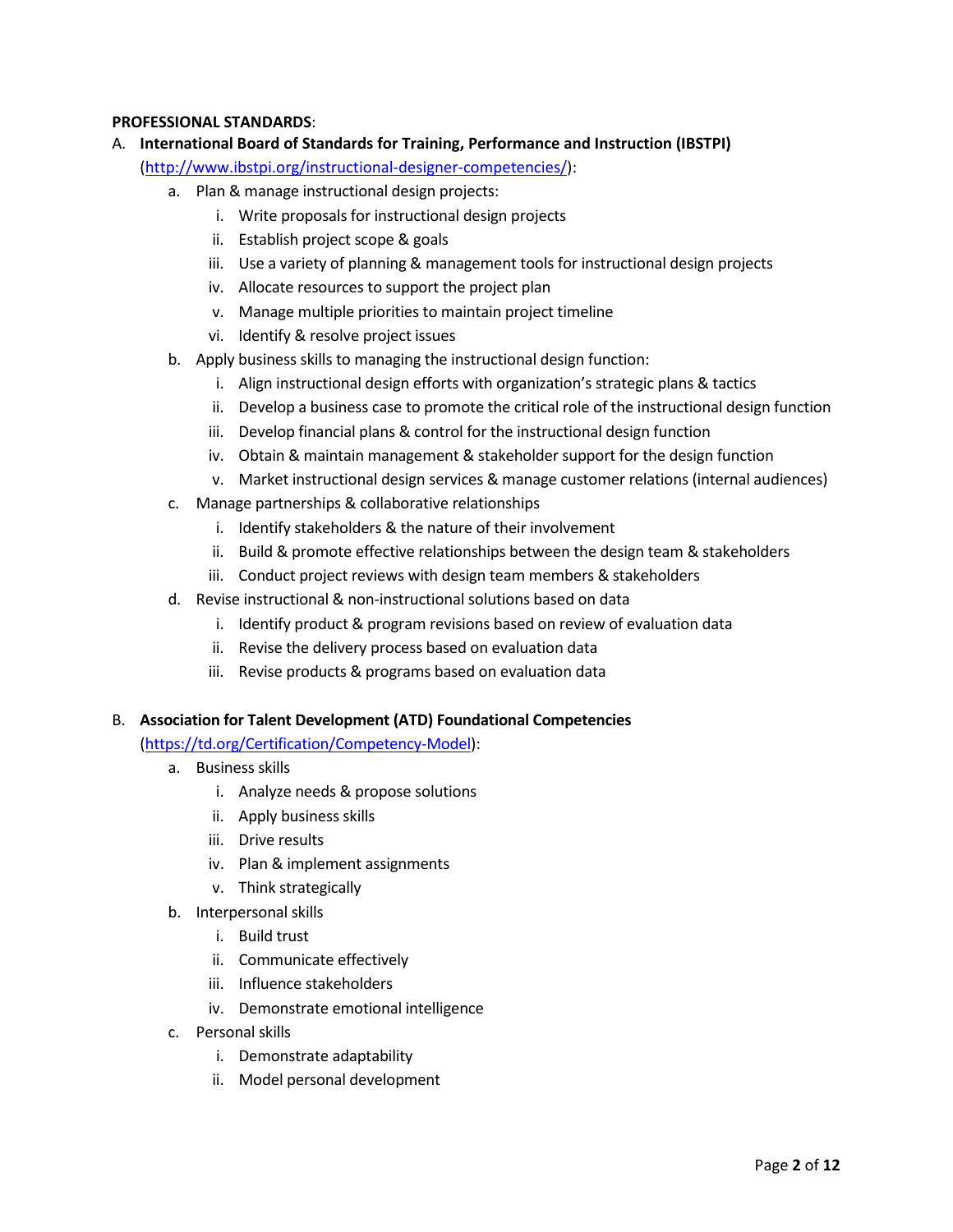#### **PROFESSIONAL STANDARDS**:

- A. **International Board of Standards for Training, Performance and Instruction (IBSTPI)** [\(http://www.ibstpi.org/instructional-designer-competencies/\)](http://www.ibstpi.org/instructional-designer-competencies/):
	- a. Plan & manage instructional design projects:
		- i. Write proposals for instructional design projects
		- ii. Establish project scope & goals
		- iii. Use a variety of planning & management tools for instructional design projects
		- iv. Allocate resources to support the project plan
		- v. Manage multiple priorities to maintain project timeline
		- vi. Identify & resolve project issues
	- b. Apply business skills to managing the instructional design function:
		- i. Align instructional design efforts with organization's strategic plans & tactics
		- ii. Develop a business case to promote the critical role of the instructional design function
		- iii. Develop financial plans & control for the instructional design function
		- iv. Obtain & maintain management & stakeholder support for the design function
		- v. Market instructional design services & manage customer relations (internal audiences)
	- c. Manage partnerships & collaborative relationships
		- i. Identify stakeholders & the nature of their involvement
		- ii. Build & promote effective relationships between the design team & stakeholders
		- iii. Conduct project reviews with design team members & stakeholders
	- d. Revise instructional & non-instructional solutions based on data
		- i. Identify product & program revisions based on review of evaluation data
		- ii. Revise the delivery process based on evaluation data
		- iii. Revise products & programs based on evaluation data

#### B. **Association for Talent Development (ATD) Foundational Competencies**

[\(https://td.org/Certification/Competency-Model\)](https://td.org/Certification/Competency-Model):

- a. Business skills
	- i. Analyze needs & propose solutions
	- ii. Apply business skills
	- iii. Drive results
	- iv. Plan & implement assignments
	- v. Think strategically
- b. Interpersonal skills
	- i. Build trust
	- ii. Communicate effectively
	- iii. Influence stakeholders
	- iv. Demonstrate emotional intelligence
- c. Personal skills
	- i. Demonstrate adaptability
	- ii. Model personal development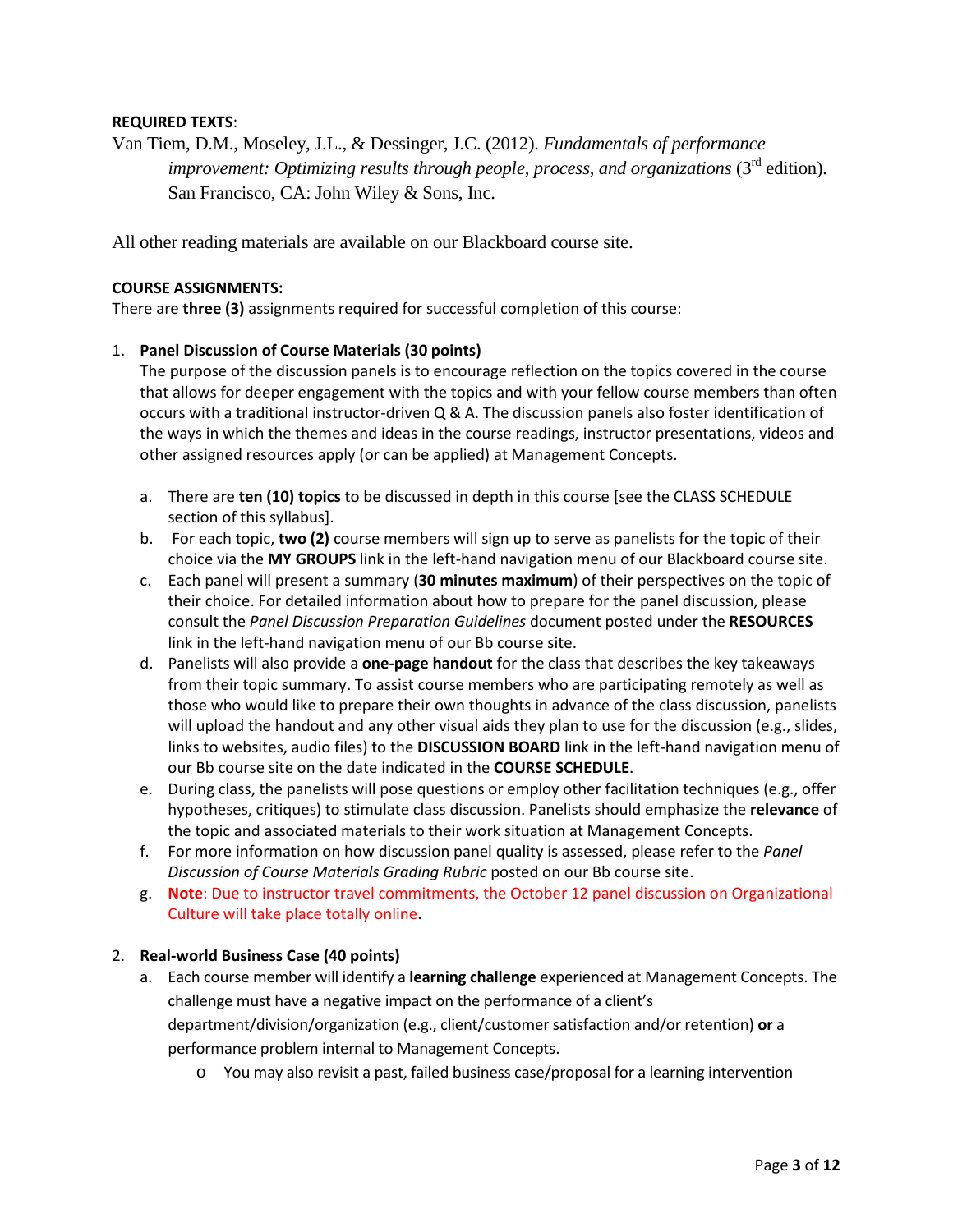#### **REQUIRED TEXTS**:

Van Tiem, D.M., Moseley, J.L., & Dessinger, J.C. (2012). *Fundamentals of performance improvement: Optimizing results through people, process, and organizations* (3<sup>rd</sup> edition). San Francisco, CA: John Wiley & Sons, Inc.

All other reading materials are available on our Blackboard course site.

#### **COURSE ASSIGNMENTS:**

There are **three (3)** assignments required for successful completion of this course:

#### 1. **Panel Discussion of Course Materials (30 points)**

The purpose of the discussion panels is to encourage reflection on the topics covered in the course that allows for deeper engagement with the topics and with your fellow course members than often occurs with a traditional instructor-driven Q & A. The discussion panels also foster identification of the ways in which the themes and ideas in the course readings, instructor presentations, videos and other assigned resources apply (or can be applied) at Management Concepts.

- a. There are **ten (10) topics** to be discussed in depth in this course [see the CLASS SCHEDULE section of this syllabus].
- b. For each topic, **two (2)** course members will sign up to serve as panelists for the topic of their choice via the **MY GROUPS** link in the left-hand navigation menu of our Blackboard course site.
- c. Each panel will present a summary (**30 minutes maximum**) of their perspectives on the topic of their choice. For detailed information about how to prepare for the panel discussion, please consult the *Panel Discussion Preparation Guidelines* document posted under the **RESOURCES** link in the left-hand navigation menu of our Bb course site.
- d. Panelists will also provide a **one-page handout** for the class that describes the key takeaways from their topic summary. To assist course members who are participating remotely as well as those who would like to prepare their own thoughts in advance of the class discussion, panelists will upload the handout and any other visual aids they plan to use for the discussion (e.g., slides, links to websites, audio files) to the **DISCUSSION BOARD** link in the left-hand navigation menu of our Bb course site on the date indicated in the **COURSE SCHEDULE**.
- e. During class, the panelists will pose questions or employ other facilitation techniques (e.g., offer hypotheses, critiques) to stimulate class discussion. Panelists should emphasize the **relevance** of the topic and associated materials to their work situation at Management Concepts.
- f. For more information on how discussion panel quality is assessed, please refer to the *Panel Discussion of Course Materials Grading Rubric* posted on our Bb course site.
- g. **Note**: Due to instructor travel commitments, the October 12 panel discussion on Organizational Culture will take place totally online.

#### 2. **Real-world Business Case (40 points)**

- a. Each course member will identify a **learning challenge** experienced at Management Concepts. The challenge must have a negative impact on the performance of a client's department/division/organization (e.g., client/customer satisfaction and/or retention) **or** a performance problem internal to Management Concepts.
	- o You may also revisit a past, failed business case/proposal for a learning intervention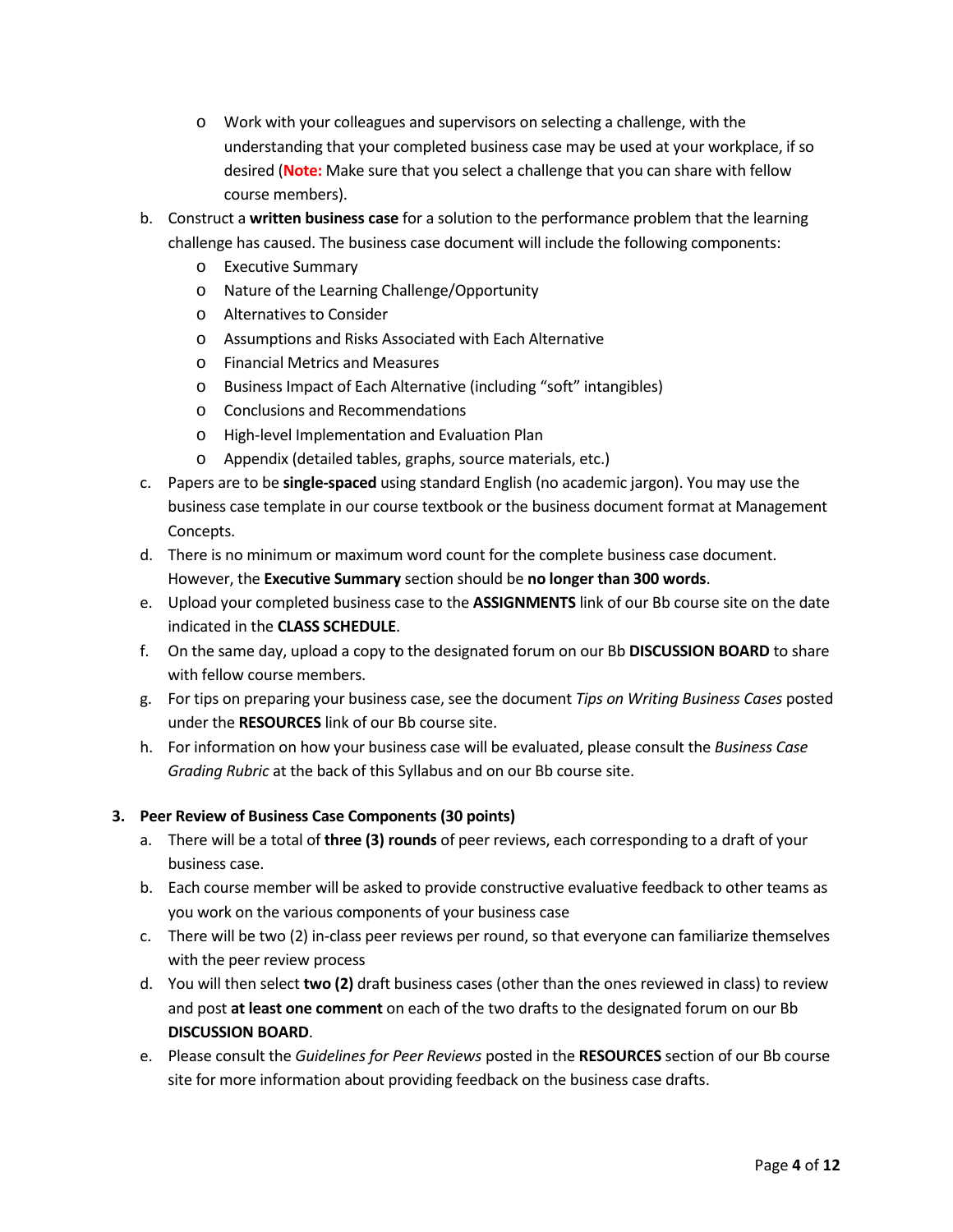- o Work with your colleagues and supervisors on selecting a challenge, with the understanding that your completed business case may be used at your workplace, if so desired (**Note:** Make sure that you select a challenge that you can share with fellow course members).
- b. Construct a **written business case** for a solution to the performance problem that the learning challenge has caused. The business case document will include the following components:
	- o Executive Summary
	- o Nature of the Learning Challenge/Opportunity
	- o Alternatives to Consider
	- o Assumptions and Risks Associated with Each Alternative
	- o Financial Metrics and Measures
	- o Business Impact of Each Alternative (including "soft" intangibles)
	- o Conclusions and Recommendations
	- o High-level Implementation and Evaluation Plan
	- o Appendix (detailed tables, graphs, source materials, etc.)
- c. Papers are to be **single-spaced** using standard English (no academic jargon). You may use the business case template in our course textbook or the business document format at Management Concepts.
- d. There is no minimum or maximum word count for the complete business case document. However, the **Executive Summary** section should be **no longer than 300 words**.
- e. Upload your completed business case to the **ASSIGNMENTS** link of our Bb course site on the date indicated in the **CLASS SCHEDULE**.
- f. On the same day, upload a copy to the designated forum on our Bb **DISCUSSION BOARD** to share with fellow course members.
- g. For tips on preparing your business case, see the document *Tips on Writing Business Cases* posted under the **RESOURCES** link of our Bb course site.
- h. For information on how your business case will be evaluated, please consult the *Business Case Grading Rubric* at the back of this Syllabus and on our Bb course site.

#### **3. Peer Review of Business Case Components (30 points)**

- a. There will be a total of **three (3) rounds** of peer reviews, each corresponding to a draft of your business case.
- b. Each course member will be asked to provide constructive evaluative feedback to other teams as you work on the various components of your business case
- c. There will be two (2) in-class peer reviews per round, so that everyone can familiarize themselves with the peer review process
- d. You will then select **two (2)** draft business cases (other than the ones reviewed in class) to review and post **at least one comment** on each of the two drafts to the designated forum on our Bb **DISCUSSION BOARD**.
- e. Please consult the *Guidelines for Peer Reviews* posted in the **RESOURCES** section of our Bb course site for more information about providing feedback on the business case drafts.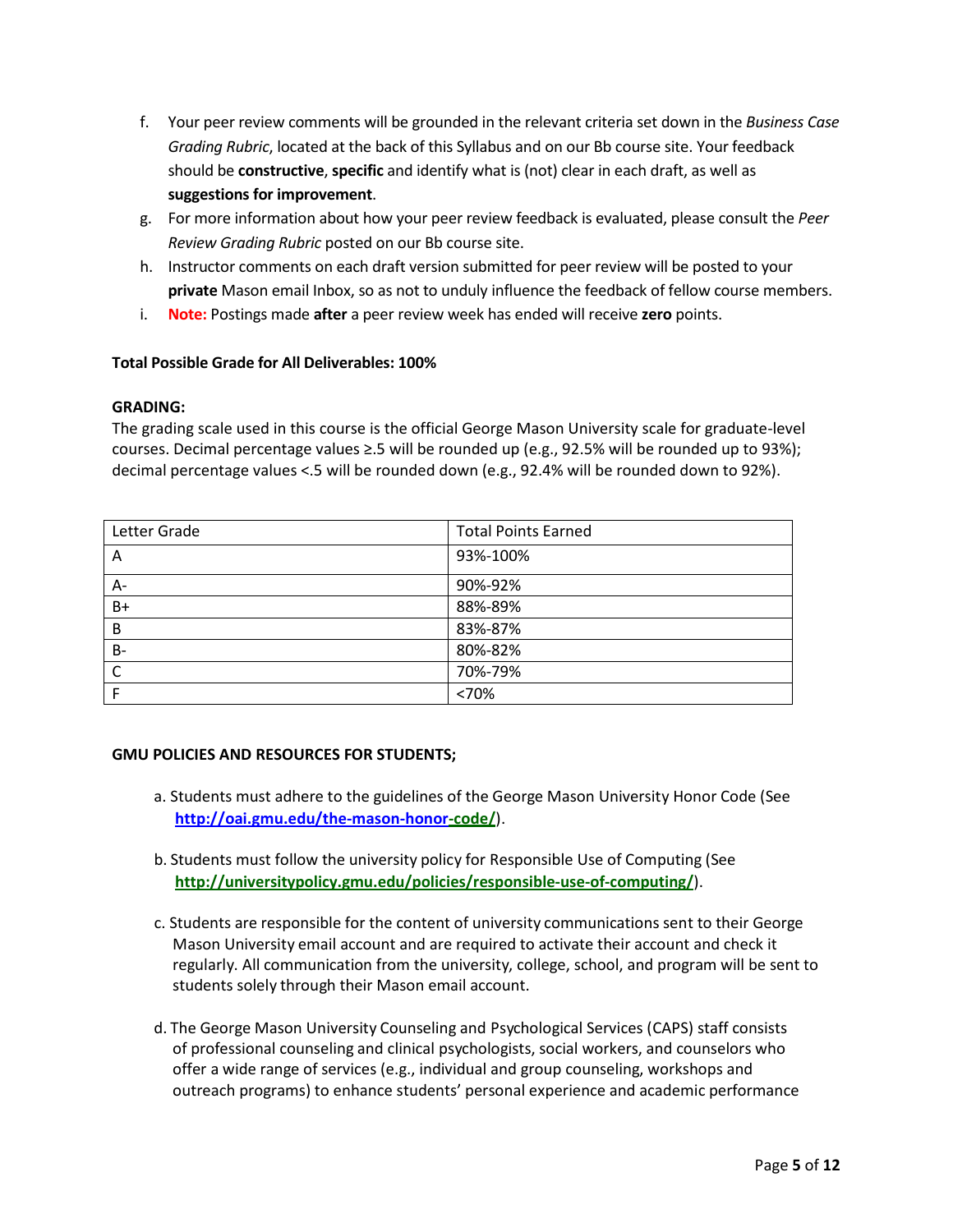- f. Your peer review comments will be grounded in the relevant criteria set down in the *Business Case Grading Rubric*, located at the back of this Syllabus and on our Bb course site. Your feedback should be **constructive**, **specific** and identify what is (not) clear in each draft, as well as **suggestions for improvement**.
- g. For more information about how your peer review feedback is evaluated, please consult the *Peer Review Grading Rubric* posted on our Bb course site.
- h. Instructor comments on each draft version submitted for peer review will be posted to your **private** Mason email Inbox, so as not to unduly influence the feedback of fellow course members.
- i. **Note:** Postings made **after** a peer review week has ended will receive **zero** points.

#### **Total Possible Grade for All Deliverables: 100%**

#### **GRADING:**

The grading scale used in this course is the official George Mason University scale for graduate-level courses. Decimal percentage values ≥.5 will be rounded up (e.g., 92.5% will be rounded up to 93%); decimal percentage values <.5 will be rounded down (e.g., 92.4% will be rounded down to 92%).

| Letter Grade | <b>Total Points Earned</b> |
|--------------|----------------------------|
| A            | 93%-100%                   |
| A-           | 90%-92%                    |
| B+           | 88%-89%                    |
| B            | 83%-87%                    |
| $B -$        | 80%-82%                    |
| C            | 70%-79%                    |
|              | <70%                       |

#### **GMU POLICIES AND RESOURCES FOR STUDENTS;**

- a. Students must adhere to the guidelines of the George Mason University Honor Code (See **[http://oai.gmu.edu/the-mason-honor-](http://oai.gmu.edu/the-mason-honor)code/**).
- b. Students must follow the university policy for Responsible Use of Computing (See **http://universitypolicy.gmu.edu/policies/responsible-use-of-computing/**).
- c. Students are responsible for the content of university communications sent to their George Mason University email account and are required to activate their account and check it regularly. All communication from the university, college, school, and program will be sent to students solely through their Mason email account.
- d. The George Mason University Counseling and Psychological Services (CAPS) staff consists of professional counseling and clinical psychologists, social workers, and counselors who offer a wide range of services (e.g., individual and group counseling, workshops and outreach programs) to enhance students' personal experience and academic performance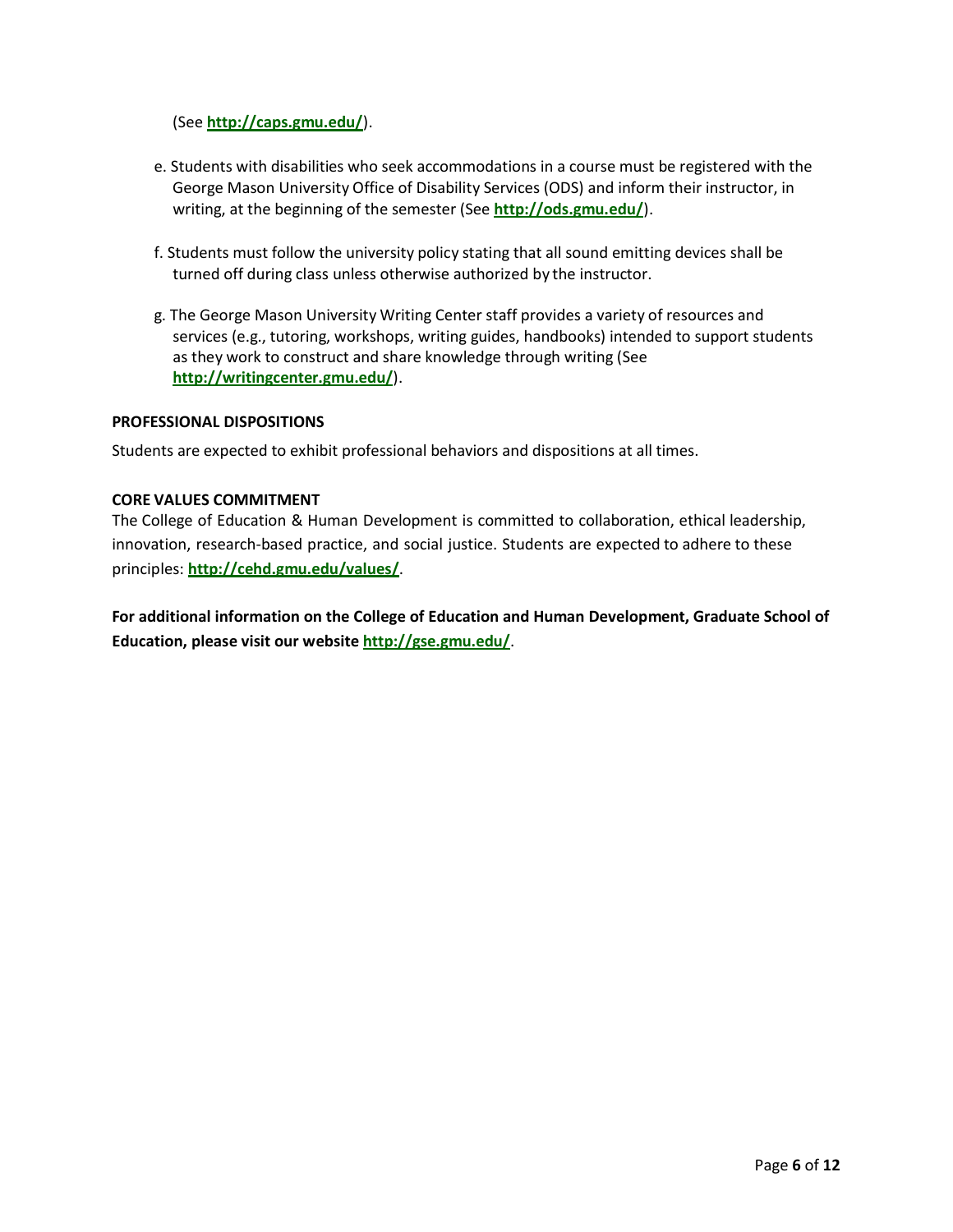(See **<http://caps.gmu.edu/>**).

- e. Students with disabilities who seek accommodations in a course must be registered with the George Mason University Office of Disability Services (ODS) and inform their instructor, in writing, at the beginning of the semester (See **<http://ods.gmu.edu/>**).
- f. Students must follow the university policy stating that all sound emitting devices shall be turned off during class unless otherwise authorized by the instructor.
- g. The George Mason University Writing Center staff provides a variety of resources and services (e.g., tutoring, workshops, writing guides, handbooks) intended to support students as they work to construct and share knowledge through writing (See **<http://writingcenter.gmu.edu/>**).

#### **PROFESSIONAL DISPOSITIONS**

Students are expected to exhibit professional behaviors and dispositions at all times.

#### **CORE VALUES COMMITMENT**

The College of Education & Human Development is committed to collaboration, ethical leadership, innovation, research-based practice, and social justice. Students are expected to adhere to these principles: **<http://cehd.gmu.edu/values/>**.

**For additional information on the College of Education and Human Development, Graduate School of Education, please visit our website <http://gse.gmu.edu/>**.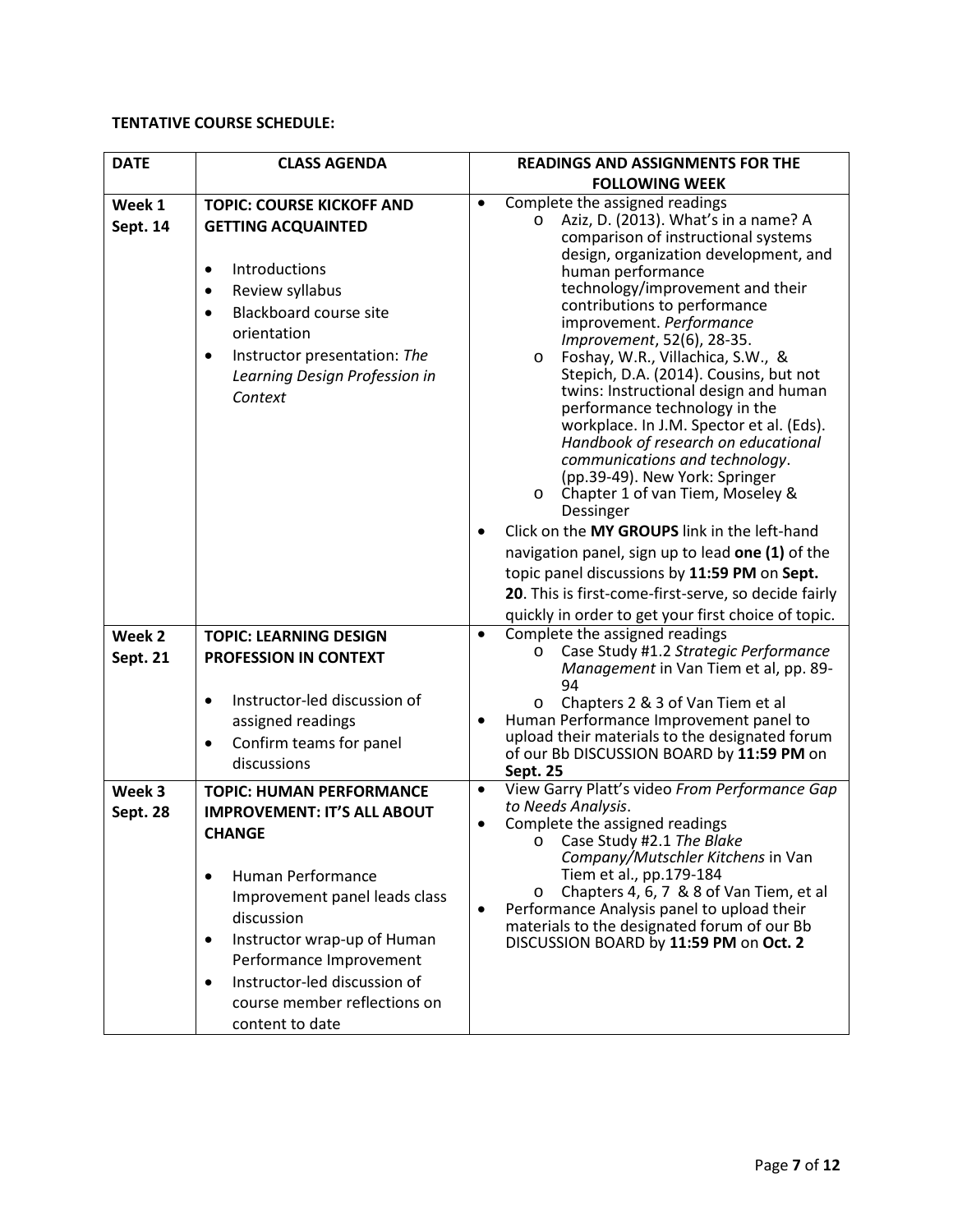### **TENTATIVE COURSE SCHEDULE:**

| <b>DATE</b>        | <b>CLASS AGENDA</b>                                                                                                                                                                                                                                                                                                                            | <b>READINGS AND ASSIGNMENTS FOR THE</b>                                                                                                                                                                                                                                                                                                                                                                                                                                                                                                                                                                                                                                                                                                                                                                                                   |  |  |
|--------------------|------------------------------------------------------------------------------------------------------------------------------------------------------------------------------------------------------------------------------------------------------------------------------------------------------------------------------------------------|-------------------------------------------------------------------------------------------------------------------------------------------------------------------------------------------------------------------------------------------------------------------------------------------------------------------------------------------------------------------------------------------------------------------------------------------------------------------------------------------------------------------------------------------------------------------------------------------------------------------------------------------------------------------------------------------------------------------------------------------------------------------------------------------------------------------------------------------|--|--|
|                    |                                                                                                                                                                                                                                                                                                                                                | <b>FOLLOWING WEEK</b>                                                                                                                                                                                                                                                                                                                                                                                                                                                                                                                                                                                                                                                                                                                                                                                                                     |  |  |
| Week 1<br>Sept. 14 | <b>TOPIC: COURSE KICKOFF AND</b><br><b>GETTING ACQUAINTED</b><br>Introductions<br>$\bullet$<br>Review syllabus<br>$\bullet$<br><b>Blackboard course site</b><br>$\bullet$<br>orientation<br>Instructor presentation: The<br>$\bullet$<br>Learning Design Profession in<br>Context                                                              | Complete the assigned readings<br>$\bullet$<br>Aziz, D. (2013). What's in a name? A<br>$\circ$<br>comparison of instructional systems<br>design, organization development, and<br>human performance<br>technology/improvement and their<br>contributions to performance<br>improvement. Performance<br>Improvement, 52(6), 28-35.<br>Foshay, W.R., Villachica, S.W., &<br>$\circ$<br>Stepich, D.A. (2014). Cousins, but not<br>twins: Instructional design and human<br>performance technology in the<br>workplace. In J.M. Spector et al. (Eds).<br>Handbook of research on educational<br>communications and technology.<br>(pp.39-49). New York: Springer<br>Chapter 1 of van Tiem, Moseley &<br>$\circ$<br>Dessinger<br>Click on the MY GROUPS link in the left-hand<br>$\bullet$<br>navigation panel, sign up to lead one (1) of the |  |  |
|                    |                                                                                                                                                                                                                                                                                                                                                | topic panel discussions by 11:59 PM on Sept.<br>20. This is first-come-first-serve, so decide fairly                                                                                                                                                                                                                                                                                                                                                                                                                                                                                                                                                                                                                                                                                                                                      |  |  |
|                    |                                                                                                                                                                                                                                                                                                                                                | quickly in order to get your first choice of topic.                                                                                                                                                                                                                                                                                                                                                                                                                                                                                                                                                                                                                                                                                                                                                                                       |  |  |
| Week 2             | <b>TOPIC: LEARNING DESIGN</b>                                                                                                                                                                                                                                                                                                                  | Complete the assigned readings<br>$\bullet$                                                                                                                                                                                                                                                                                                                                                                                                                                                                                                                                                                                                                                                                                                                                                                                               |  |  |
| <b>Sept. 21</b>    | PROFESSION IN CONTEXT                                                                                                                                                                                                                                                                                                                          | Case Study #1.2 Strategic Performance<br>O<br>Management in Van Tiem et al, pp. 89-<br>94                                                                                                                                                                                                                                                                                                                                                                                                                                                                                                                                                                                                                                                                                                                                                 |  |  |
|                    | Instructor-led discussion of<br>$\bullet$                                                                                                                                                                                                                                                                                                      | Chapters 2 & 3 of Van Tiem et al<br>$\circ$                                                                                                                                                                                                                                                                                                                                                                                                                                                                                                                                                                                                                                                                                                                                                                                               |  |  |
|                    | assigned readings                                                                                                                                                                                                                                                                                                                              | Human Performance Improvement panel to<br>$\bullet$                                                                                                                                                                                                                                                                                                                                                                                                                                                                                                                                                                                                                                                                                                                                                                                       |  |  |
|                    | Confirm teams for panel<br>$\bullet$                                                                                                                                                                                                                                                                                                           | upload their materials to the designated forum<br>of our Bb DISCUSSION BOARD by 11:59 PM on                                                                                                                                                                                                                                                                                                                                                                                                                                                                                                                                                                                                                                                                                                                                               |  |  |
|                    | discussions                                                                                                                                                                                                                                                                                                                                    | <b>Sept. 25</b>                                                                                                                                                                                                                                                                                                                                                                                                                                                                                                                                                                                                                                                                                                                                                                                                                           |  |  |
| Week 3<br>Sept. 28 | <b>TOPIC: HUMAN PERFORMANCE</b><br><b>IMPROVEMENT: IT'S ALL ABOUT</b><br><b>CHANGE</b><br>Human Performance<br>$\bullet$<br>Improvement panel leads class<br>discussion<br>Instructor wrap-up of Human<br>$\bullet$<br>Performance Improvement<br>Instructor-led discussion of<br>$\bullet$<br>course member reflections on<br>content to date | View Garry Platt's video From Performance Gap<br>$\bullet$<br>to Needs Analysis.<br>Complete the assigned readings<br>$\bullet$<br>O Case Study #2.1 The Blake<br>Company/Mutschler Kitchens in Van<br>Tiem et al., pp.179-184<br>Chapters 4, 6, 7 & 8 of Van Tiem, et al<br>$\circ$<br>Performance Analysis panel to upload their<br>$\bullet$<br>materials to the designated forum of our Bb<br>DISCUSSION BOARD by 11:59 PM on Oct. 2                                                                                                                                                                                                                                                                                                                                                                                                  |  |  |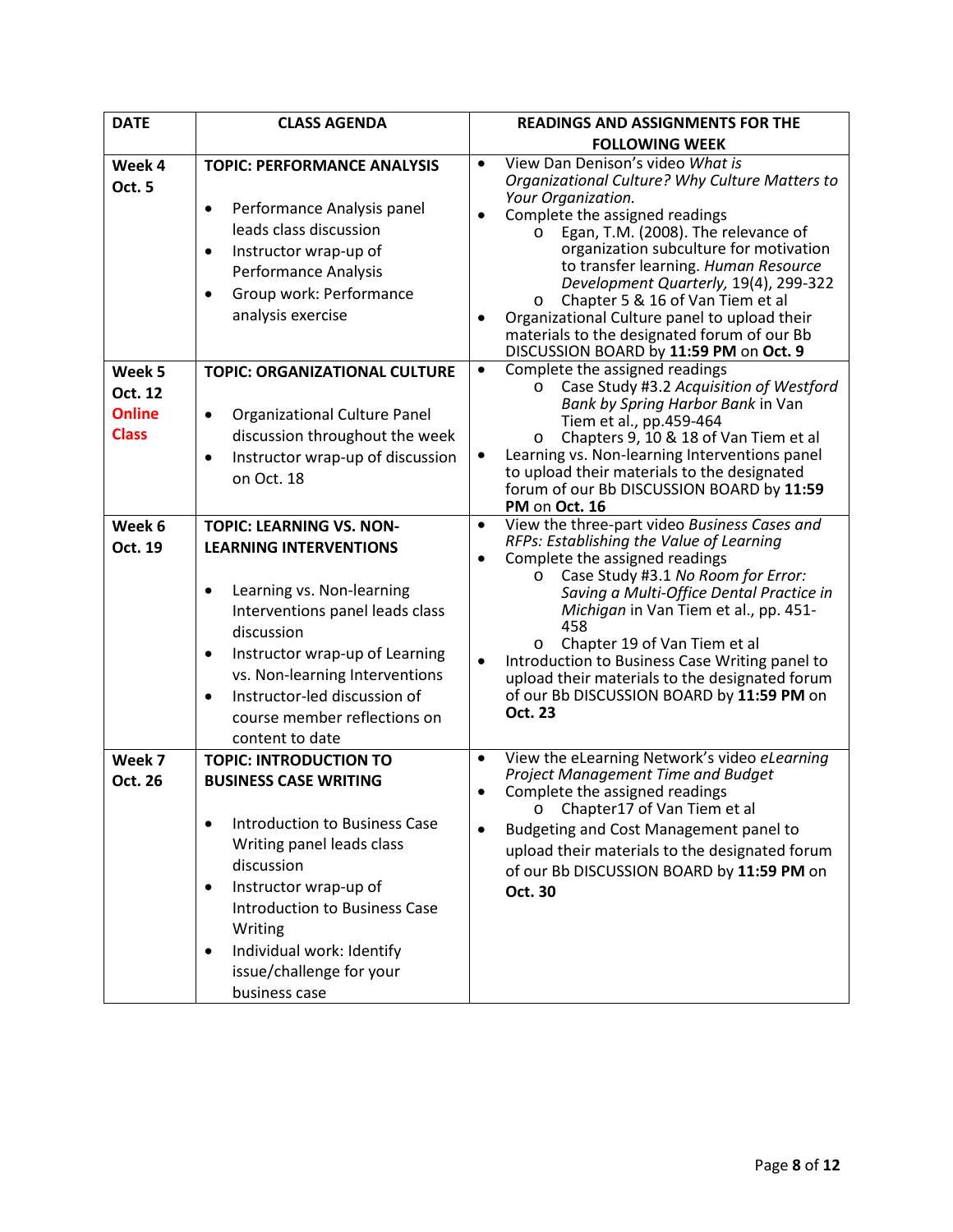| <b>DATE</b>                                        | <b>CLASS AGENDA</b>                                                                                                                                                                                                                                                                                                                          | <b>READINGS AND ASSIGNMENTS FOR THE</b>                                                                                                                                                                                                                                                                                                                                                                                                                                                                                                   |  |  |
|----------------------------------------------------|----------------------------------------------------------------------------------------------------------------------------------------------------------------------------------------------------------------------------------------------------------------------------------------------------------------------------------------------|-------------------------------------------------------------------------------------------------------------------------------------------------------------------------------------------------------------------------------------------------------------------------------------------------------------------------------------------------------------------------------------------------------------------------------------------------------------------------------------------------------------------------------------------|--|--|
|                                                    |                                                                                                                                                                                                                                                                                                                                              | <b>FOLLOWING WEEK</b>                                                                                                                                                                                                                                                                                                                                                                                                                                                                                                                     |  |  |
| Week 4<br>Oct. 5                                   | <b>TOPIC: PERFORMANCE ANALYSIS</b><br>Performance Analysis panel<br>$\bullet$<br>leads class discussion<br>Instructor wrap-up of<br>$\bullet$<br>Performance Analysis<br>Group work: Performance<br>$\bullet$<br>analysis exercise                                                                                                           | View Dan Denison's video What is<br>$\bullet$<br>Organizational Culture? Why Culture Matters to<br>Your Organization.<br>Complete the assigned readings<br>$\bullet$<br>Egan, T.M. (2008). The relevance of<br>$\circ$<br>organization subculture for motivation<br>to transfer learning. Human Resource<br>Development Quarterly, 19(4), 299-322<br>Chapter 5 & 16 of Van Tiem et al<br>$\circ$<br>Organizational Culture panel to upload their<br>materials to the designated forum of our Bb<br>DISCUSSION BOARD by 11:59 PM on Oct. 9 |  |  |
| Week 5<br>Oct. 12<br><b>Online</b><br><b>Class</b> | <b>TOPIC: ORGANIZATIONAL CULTURE</b><br>Organizational Culture Panel<br>$\bullet$<br>discussion throughout the week<br>Instructor wrap-up of discussion<br>$\bullet$<br>on Oct. 18                                                                                                                                                           | Complete the assigned readings<br>$\bullet$<br>Case Study #3.2 Acquisition of Westford<br>$\circ$<br>Bank by Spring Harbor Bank in Van<br>Tiem et al., pp.459-464<br>Chapters 9, 10 & 18 of Van Tiem et al<br>O<br>Learning vs. Non-learning Interventions panel<br>to upload their materials to the designated<br>forum of our Bb DISCUSSION BOARD by 11:59<br>PM on Oct. 16                                                                                                                                                             |  |  |
| Week 6<br>Oct. 19                                  | <b>TOPIC: LEARNING VS. NON-</b><br><b>LEARNING INTERVENTIONS</b><br>Learning vs. Non-learning<br>$\bullet$<br>Interventions panel leads class<br>discussion<br>Instructor wrap-up of Learning<br>$\bullet$<br>vs. Non-learning Interventions<br>Instructor-led discussion of<br>$\bullet$<br>course member reflections on<br>content to date | View the three-part video Business Cases and<br>$\bullet$<br>RFPs: Establishing the Value of Learning<br>Complete the assigned readings<br>Case Study #3.1 No Room for Error:<br>$\circ$<br>Saving a Multi-Office Dental Practice in<br>Michigan in Van Tiem et al., pp. 451-<br>458<br>Chapter 19 of Van Tiem et al<br>$\circ$<br>Introduction to Business Case Writing panel to<br>upload their materials to the designated forum<br>of our Bb DISCUSSION BOARD by 11:59 PM on<br>Oct. 23                                               |  |  |
| Week 7<br>Oct. 26                                  | <b>TOPIC: INTRODUCTION TO</b><br><b>BUSINESS CASE WRITING</b><br><b>Introduction to Business Case</b><br>$\bullet$<br>Writing panel leads class<br>discussion<br>Instructor wrap-up of<br>$\bullet$<br>Introduction to Business Case<br>Writing<br>Individual work: Identify<br>$\bullet$<br>issue/challenge for your<br>business case       | View the eLearning Network's video eLearning<br>$\bullet$<br>Project Management Time and Budget<br>Complete the assigned readings<br>$\bullet$<br>O Chapter17 of Van Tiem et al<br>Budgeting and Cost Management panel to<br>upload their materials to the designated forum<br>of our Bb DISCUSSION BOARD by 11:59 PM on<br>Oct. 30                                                                                                                                                                                                       |  |  |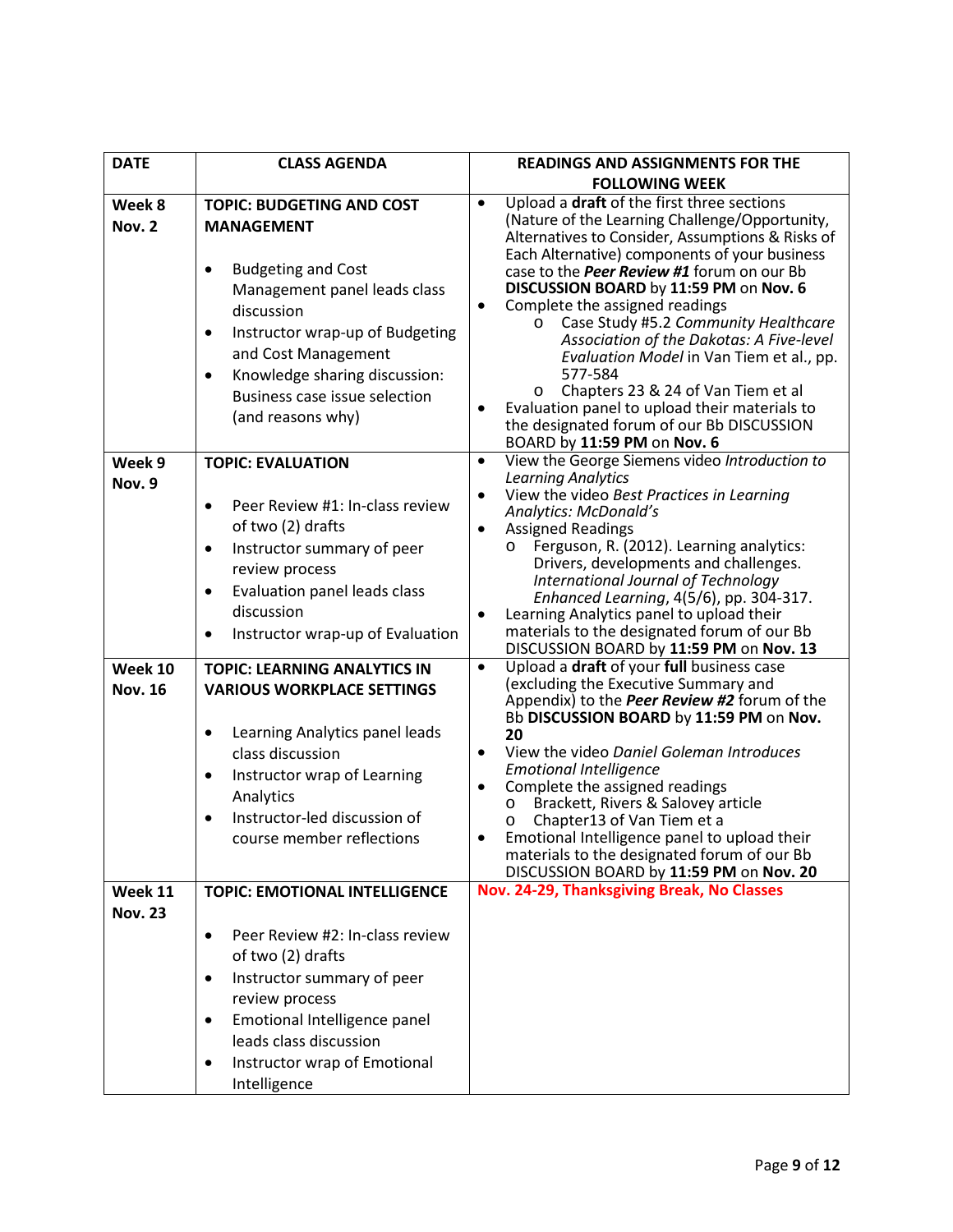| <b>DATE</b>                         | <b>CLASS AGENDA</b>                                                                                                                                                                                                                                                                                                                                                                                                                                                                                             | <b>READINGS AND ASSIGNMENTS FOR THE</b>                                                                                                                                                                                                                                                                                                                                                                                                                                                                                                                                                                                                                                                                                                                                                                                                                                                                                                                                                                                                                                  |  |
|-------------------------------------|-----------------------------------------------------------------------------------------------------------------------------------------------------------------------------------------------------------------------------------------------------------------------------------------------------------------------------------------------------------------------------------------------------------------------------------------------------------------------------------------------------------------|--------------------------------------------------------------------------------------------------------------------------------------------------------------------------------------------------------------------------------------------------------------------------------------------------------------------------------------------------------------------------------------------------------------------------------------------------------------------------------------------------------------------------------------------------------------------------------------------------------------------------------------------------------------------------------------------------------------------------------------------------------------------------------------------------------------------------------------------------------------------------------------------------------------------------------------------------------------------------------------------------------------------------------------------------------------------------|--|
|                                     |                                                                                                                                                                                                                                                                                                                                                                                                                                                                                                                 | <b>FOLLOWING WEEK</b>                                                                                                                                                                                                                                                                                                                                                                                                                                                                                                                                                                                                                                                                                                                                                                                                                                                                                                                                                                                                                                                    |  |
| Week 8<br>Nov. 2                    | <b>TOPIC: BUDGETING AND COST</b><br><b>MANAGEMENT</b><br><b>Budgeting and Cost</b><br>$\bullet$<br>Management panel leads class<br>discussion<br>Instructor wrap-up of Budgeting<br>$\bullet$<br>and Cost Management<br>Knowledge sharing discussion:<br>$\bullet$<br>Business case issue selection<br>(and reasons why)                                                                                                                                                                                        | Upload a draft of the first three sections<br>$\bullet$<br>(Nature of the Learning Challenge/Opportunity,<br>Alternatives to Consider, Assumptions & Risks of<br>Each Alternative) components of your business<br>case to the <i>Peer Review #1</i> forum on our Bb<br>DISCUSSION BOARD by 11:59 PM on Nov. 6<br>Complete the assigned readings<br>$\bullet$<br>Case Study #5.2 Community Healthcare<br>$\circ$<br>Association of the Dakotas: A Five-level<br>Evaluation Model in Van Tiem et al., pp.<br>577-584<br>Chapters 23 & 24 of Van Tiem et al<br>$\circ$<br>Evaluation panel to upload their materials to<br>the designated forum of our Bb DISCUSSION<br>BOARD by 11:59 PM on Nov. 6                                                                                                                                                                                                                                                                                                                                                                         |  |
| Week 9                              | <b>TOPIC: EVALUATION</b>                                                                                                                                                                                                                                                                                                                                                                                                                                                                                        | View the George Siemens video Introduction to<br>$\bullet$                                                                                                                                                                                                                                                                                                                                                                                                                                                                                                                                                                                                                                                                                                                                                                                                                                                                                                                                                                                                               |  |
| Nov. 9<br>Week 10<br><b>Nov. 16</b> | Peer Review #1: In-class review<br>$\bullet$<br>of two (2) drafts<br>Instructor summary of peer<br>$\bullet$<br>review process<br>Evaluation panel leads class<br>$\bullet$<br>discussion<br>Instructor wrap-up of Evaluation<br>$\bullet$<br><b>TOPIC: LEARNING ANALYTICS IN</b><br><b>VARIOUS WORKPLACE SETTINGS</b><br>Learning Analytics panel leads<br>$\bullet$<br>class discussion<br>Instructor wrap of Learning<br>$\bullet$<br>Analytics<br>Instructor-led discussion of<br>course member reflections | <b>Learning Analytics</b><br>View the video Best Practices in Learning<br>$\bullet$<br>Analytics: McDonald's<br><b>Assigned Readings</b><br>$\bullet$<br>o Ferguson, R. (2012). Learning analytics:<br>Drivers, developments and challenges.<br>International Journal of Technology<br>Enhanced Learning, 4(5/6), pp. 304-317.<br>Learning Analytics panel to upload their<br>$\bullet$<br>materials to the designated forum of our Bb<br>DISCUSSION BOARD by 11:59 PM on Nov. 13<br>Upload a draft of your full business case<br>$\bullet$<br>(excluding the Executive Summary and<br>Appendix) to the <i>Peer Review #2</i> forum of the<br>Bb DISCUSSION BOARD by 11:59 PM on Nov.<br>20<br>View the video Daniel Goleman Introduces<br>$\bullet$<br><b>Emotional Intelligence</b><br>Complete the assigned readings<br>$\bullet$<br>Brackett, Rivers & Salovey article<br>$\circ$<br>Chapter13 of Van Tiem et a<br>$\circ$<br>Emotional Intelligence panel to upload their<br>materials to the designated forum of our Bb<br>DISCUSSION BOARD by 11:59 PM on Nov. 20 |  |
| Week 11                             | <b>TOPIC: EMOTIONAL INTELLIGENCE</b>                                                                                                                                                                                                                                                                                                                                                                                                                                                                            | Nov. 24-29, Thanksgiving Break, No Classes                                                                                                                                                                                                                                                                                                                                                                                                                                                                                                                                                                                                                                                                                                                                                                                                                                                                                                                                                                                                                               |  |
| <b>Nov. 23</b>                      | Peer Review #2: In-class review<br>$\bullet$<br>of two (2) drafts<br>Instructor summary of peer<br>$\bullet$<br>review process<br>Emotional Intelligence panel<br>$\bullet$<br>leads class discussion                                                                                                                                                                                                                                                                                                           |                                                                                                                                                                                                                                                                                                                                                                                                                                                                                                                                                                                                                                                                                                                                                                                                                                                                                                                                                                                                                                                                          |  |
|                                     | Instructor wrap of Emotional<br>$\bullet$<br>Intelligence                                                                                                                                                                                                                                                                                                                                                                                                                                                       |                                                                                                                                                                                                                                                                                                                                                                                                                                                                                                                                                                                                                                                                                                                                                                                                                                                                                                                                                                                                                                                                          |  |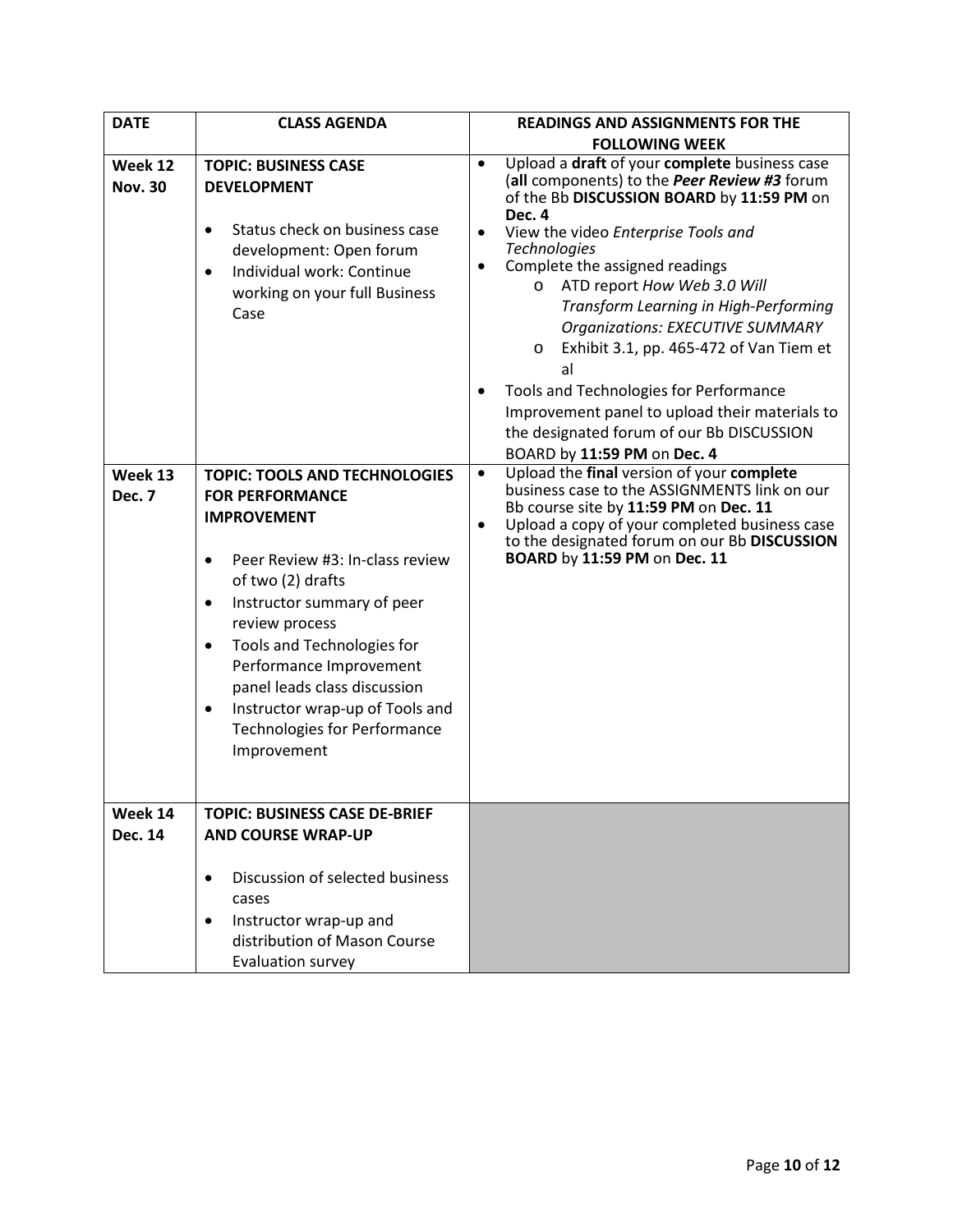| <b>DATE</b>               | <b>CLASS AGENDA</b>                                                                                                                                                                                                                                                                                                                                                                                                                | <b>READINGS AND ASSIGNMENTS FOR THE</b>                                                                                                                                                                                                                                                                                                                                                                                                                                                                                                                                                                                                                       |
|---------------------------|------------------------------------------------------------------------------------------------------------------------------------------------------------------------------------------------------------------------------------------------------------------------------------------------------------------------------------------------------------------------------------------------------------------------------------|---------------------------------------------------------------------------------------------------------------------------------------------------------------------------------------------------------------------------------------------------------------------------------------------------------------------------------------------------------------------------------------------------------------------------------------------------------------------------------------------------------------------------------------------------------------------------------------------------------------------------------------------------------------|
|                           |                                                                                                                                                                                                                                                                                                                                                                                                                                    | <b>FOLLOWING WEEK</b>                                                                                                                                                                                                                                                                                                                                                                                                                                                                                                                                                                                                                                         |
| Week 12<br><b>Nov. 30</b> | <b>TOPIC: BUSINESS CASE</b><br><b>DEVELOPMENT</b><br>Status check on business case<br>$\bullet$<br>development: Open forum<br>Individual work: Continue<br>$\bullet$<br>working on your full Business<br>Case                                                                                                                                                                                                                      | Upload a draft of your complete business case<br>$\bullet$<br>(all components) to the Peer Review #3 forum<br>of the Bb DISCUSSION BOARD by 11:59 PM on<br>Dec. 4<br>View the video Enterprise Tools and<br>$\bullet$<br><b>Technologies</b><br>Complete the assigned readings<br>$\bullet$<br>ATD report How Web 3.0 Will<br>$\circ$<br>Transform Learning in High-Performing<br><b>Organizations: EXECUTIVE SUMMARY</b><br>Exhibit 3.1, pp. 465-472 of Van Tiem et<br>$\circ$<br>al<br>Tools and Technologies for Performance<br>Improvement panel to upload their materials to<br>the designated forum of our Bb DISCUSSION<br>BOARD by 11:59 PM on Dec. 4 |
| Week 13<br>Dec. 7         | <b>TOPIC: TOOLS AND TECHNOLOGIES</b><br><b>FOR PERFORMANCE</b><br><b>IMPROVEMENT</b><br>Peer Review #3: In-class review<br>$\bullet$<br>of two (2) drafts<br>Instructor summary of peer<br>$\bullet$<br>review process<br>Tools and Technologies for<br>$\bullet$<br>Performance Improvement<br>panel leads class discussion<br>Instructor wrap-up of Tools and<br>$\bullet$<br><b>Technologies for Performance</b><br>Improvement | Upload the final version of your complete<br>business case to the ASSIGNMENTS link on our<br>Bb course site by 11:59 PM on Dec. 11<br>Upload a copy of your completed business case<br>$\bullet$<br>to the designated forum on our Bb DISCUSSION<br>BOARD by 11:59 PM on Dec. 11                                                                                                                                                                                                                                                                                                                                                                              |
| Week 14<br><b>Dec. 14</b> | <b>TOPIC: BUSINESS CASE DE-BRIEF</b><br><b>AND COURSE WRAP-UP</b>                                                                                                                                                                                                                                                                                                                                                                  |                                                                                                                                                                                                                                                                                                                                                                                                                                                                                                                                                                                                                                                               |
|                           | Discussion of selected business<br>$\bullet$<br>cases<br>Instructor wrap-up and<br>$\bullet$<br>distribution of Mason Course<br>Evaluation survey                                                                                                                                                                                                                                                                                  |                                                                                                                                                                                                                                                                                                                                                                                                                                                                                                                                                                                                                                                               |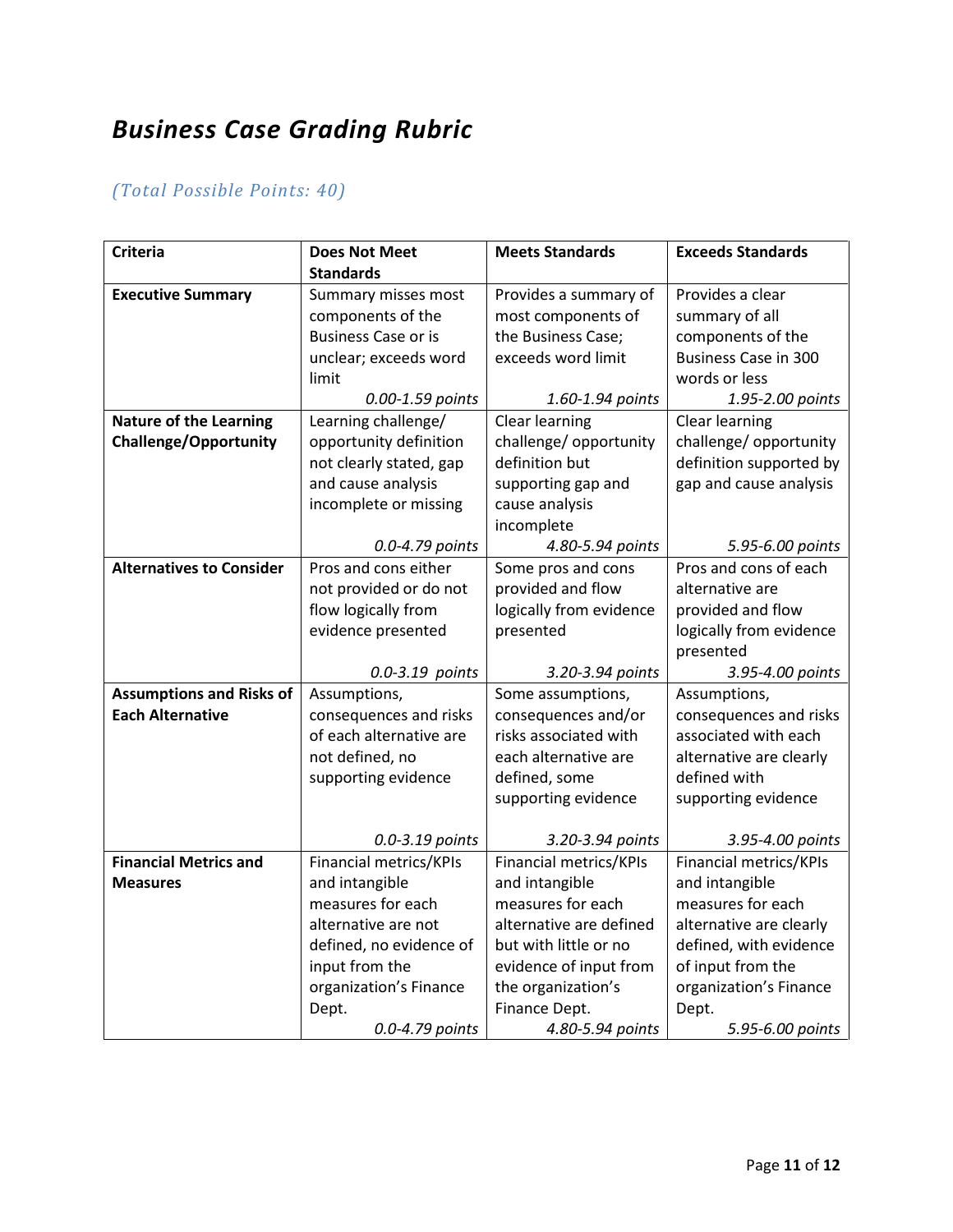# *Business Case Grading Rubric*

## *(Total Possible Points: 40)*

| <b>Criteria</b>                 | <b>Does Not Meet</b>       | <b>Meets Standards</b>  | <b>Exceeds Standards</b>    |
|---------------------------------|----------------------------|-------------------------|-----------------------------|
|                                 | <b>Standards</b>           |                         |                             |
| <b>Executive Summary</b>        | Summary misses most        | Provides a summary of   | Provides a clear            |
|                                 | components of the          | most components of      | summary of all              |
|                                 | <b>Business Case or is</b> | the Business Case;      | components of the           |
|                                 | unclear; exceeds word      | exceeds word limit      | <b>Business Case in 300</b> |
|                                 | limit                      |                         | words or less               |
|                                 | 0.00-1.59 points           | 1.60-1.94 points        | 1.95-2.00 points            |
| <b>Nature of the Learning</b>   | Learning challenge/        | Clear learning          | Clear learning              |
| <b>Challenge/Opportunity</b>    | opportunity definition     | challenge/ opportunity  | challenge/ opportunity      |
|                                 | not clearly stated, gap    | definition but          | definition supported by     |
|                                 | and cause analysis         | supporting gap and      | gap and cause analysis      |
|                                 | incomplete or missing      | cause analysis          |                             |
|                                 |                            | incomplete              |                             |
|                                 | 0.0-4.79 points            | 4.80-5.94 points        | 5.95-6.00 points            |
| <b>Alternatives to Consider</b> | Pros and cons either       | Some pros and cons      | Pros and cons of each       |
|                                 | not provided or do not     | provided and flow       | alternative are             |
|                                 | flow logically from        | logically from evidence | provided and flow           |
|                                 | evidence presented         | presented               | logically from evidence     |
|                                 |                            |                         | presented                   |
|                                 | 0.0-3.19 points            | 3.20-3.94 points        | 3.95-4.00 points            |
| <b>Assumptions and Risks of</b> | Assumptions,               | Some assumptions,       | Assumptions,                |
| <b>Each Alternative</b>         | consequences and risks     | consequences and/or     | consequences and risks      |
|                                 | of each alternative are    | risks associated with   | associated with each        |
|                                 | not defined, no            | each alternative are    | alternative are clearly     |
|                                 | supporting evidence        | defined, some           | defined with                |
|                                 |                            | supporting evidence     | supporting evidence         |
|                                 |                            |                         |                             |
|                                 | 0.0-3.19 points            | 3.20-3.94 points        | 3.95-4.00 points            |
| <b>Financial Metrics and</b>    | Financial metrics/KPIs     | Financial metrics/KPIs  | Financial metrics/KPIs      |
| <b>Measures</b>                 | and intangible             | and intangible          | and intangible              |
|                                 | measures for each          | measures for each       | measures for each           |
|                                 | alternative are not        | alternative are defined | alternative are clearly     |
|                                 | defined, no evidence of    | but with little or no   | defined, with evidence      |
|                                 | input from the             | evidence of input from  | of input from the           |
|                                 | organization's Finance     | the organization's      | organization's Finance      |
|                                 | Dept.                      | Finance Dept.           | Dept.                       |
|                                 | 0.0-4.79 points            | 4.80-5.94 points        | 5.95-6.00 points            |